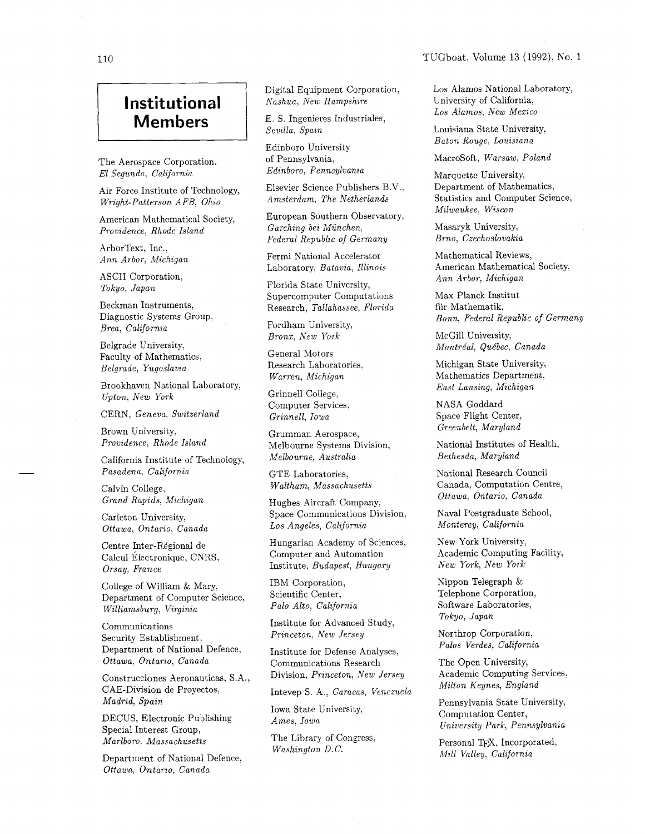## TUGboat, Volume 13 (1992), No. 1

## **Institutional** *Nashua*, *New Hampshire Los Alamos, New Mexico Los Alamos, New Mexico* **Institutional** *E. S. Ingenieres Industriales,*

The Aerospace Corporation, of Pennsylvania, MacroSoft, Warsaw, Poland El Segundo, California Edinboro, Pennsylvania Marquette University.

Air Force Institute of Technology, Wright-Patterson AFB, Ohio

American Mathematical Society,

ArborText, Inc.,

ASCII Corporation, Ann Arbor, Michigan

Beckman Instruments, Diagnostic Systems Group, Brea, California Fordham University,

Faculty of Mathematics, Belgrade, Yugoslavia

Brookhaven National Laboratory,<br>  $E$ ast Lansing, Michigan<br>  $U$ nton New York<br>  $V$  $Upton, New York$ 

CERN. Geneva, Switzerland

Brown University, Providence, Rhode Island

California Institute of Technology, Melbourne, Australia Bethesda, Maryland Pasadena, California (CTE Laboratories. National Research Council

Carleton University, Ottawa, Ontario, Canada

Centre Inter-Régional de Calcul Électronique, CNRS, Orsay, France

College of William & Mary, Department of Computer Science, Williamsburg, Virginia

Communications Security Establishment, Department of National Defence, Ottawa, Ontario, Canada

Construcciones Aeronauticas, S.A., Division, Princeton, New Jersey Reademic Computing Seconds CAE Division de Provectos CAE-Division de Proyectos, Madrid, Spain

DECUS, Electronic Publishing Ames, Iowa Special Interest Group, Marlboro, Massachusetts The Library of Congress,

Washington D.C. Mill Valley, California Department of National Defence, Ottawa, Ontario, Canada

Digital Equipment Corporation, Nashua, New Hampshire

E. S. Ingenieres Industriales,<br>Sevilla, Spain

Edinboro University of Pennsylvania, Edinboro, Pennsylvania

Elsevier Science Publishers B.V., Amsterdam, The Netherlands

European Southern Observatory, Garching bei Munchen, Federal Republic of Germany Providence, Rhode Island Garching bei München, Masaryk University,

Ann Arbor, Michigan Fermi National Accelerator Laboratory, Batavia, Illinois

> Florida State University, Supercomputer Computations Research, Tallahassee, Florida

Bronx, New York McGill University,

General Motors Research Laboratories. Warren, Michigan

Computer Services, Grinnell, Iowa

Grumman Aerospace, Melbourne Systems Division, Melbourne, Australia

GTE Laboratories, Waltham, Massachusetts Calvin College,

Grand Rapids, Michigan Hughes Aircraft Company, Space Communications Division, Los Angeles, California

> Hungarian Academy of Sciences, Computer and Automation Institute, Budapest, Hungary

IBM Corporation, Scientific Center, Palo Alto, California

Institute for Advanced Study, Princeton, New Jersey

Institute for Defense Analyses, Communications Research Division, Princeton, New Jersey

Intevep S. A,, Caracas, Venezuela

Iowa State University,

Washington D.C.

Los Alamos National Laboratory, University of California,

Louisiana State University, Baton Rouge, Louisiana

Marquette University, Department of Mathematics, Statistics and Computer Science, Milwaukee, Wiscon

Brno, Czechoslovakia

Mathematical Reviews, American Mathematical Society,

Max Planck Institut fiir Mathematik, Bonn, Federal Republic of Germany

Belgrade University,  $Montéal, Québec, Canada$ 

Michigan State University, Mathematics Department,

NASA Goddard Space Flight Center, Greenbelt, Maryland

National Institutes of Health,

Canada, Computation Centre, Ottawa, Ontario, Canada

Naval Postgraduate School, Monterey, California

New York University, Academic Computing Facility, New York, New York

Nippon Telegraph & Telephone Corporation, Software Laboratories, Tokyo, Japan

Northrop Corporation, Palos Verdes, California

The Open University, Academic Computing Services.

Pennsylvania State University, Computation Center, University Park, Pennsylvania

Personal T<sub>F</sub>X, Incorporated,